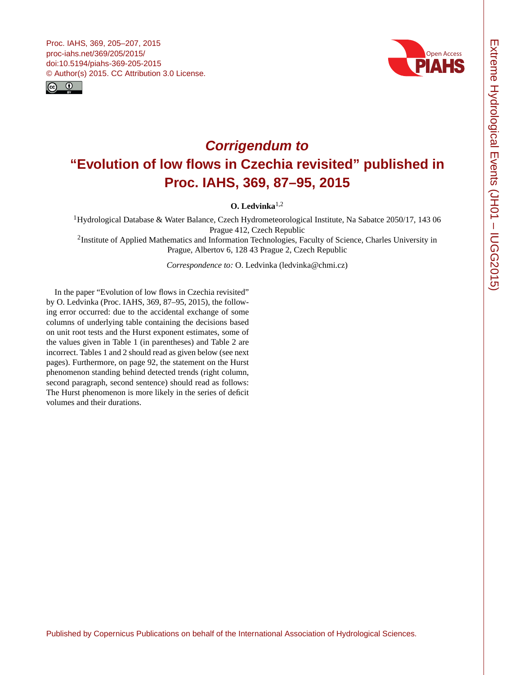<span id="page-0-0"></span>



## **Corrigendum to "Evolution of low flows in Czechia revisited" published in Proc. IAHS, 369, 87–95, 2015**

**O. Ledvinka**1,2

<sup>1</sup>Hydrological Database & Water Balance, Czech Hydrometeorological Institute, Na Sabatce 2050/17, 143 06 Prague 412, Czech Republic

<sup>2</sup>Institute of Applied Mathematics and Information Technologies, Faculty of Science, Charles University in Prague, Albertov 6, 128 43 Prague 2, Czech Republic

*Correspondence to:* O. Ledvinka (ledvinka@chmi.cz)

In the paper "Evolution of low flows in Czechia revisited" by O. Ledvinka (Proc. IAHS, 369, 87–95, 2015), the following error occurred: due to the accidental exchange of some columns of underlying table containing the decisions based on unit root tests and the Hurst exponent estimates, some of the values given in Table 1 (in parentheses) and Table 2 are incorrect. Tables 1 and 2 should read as given below (see next pages). Furthermore, on page 92, the statement on the Hurst phenomenon standing behind detected trends (right column, second paragraph, second sentence) should read as follows: The Hurst phenomenon is more likely in the series of deficit volumes and their durations.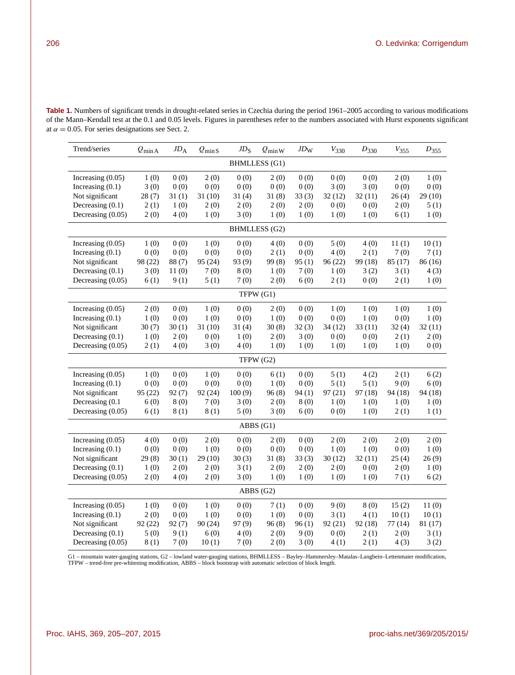**Table 1.** Numbers of significant trends in drought-related series in Czechia during the period 1961–2005 according to various modifications of the Mann–Kendall test at the 0.1 and 0.05 levels. Figures in parentheses refer to the numbers associated with Hurst exponents significant at  $\alpha = 0.05$ . For series designations see Sect. 2.

| Trend/series         | $Q_{\min A}$ | $JD_A$ | $Q_{\rm minS}$ | $JD$ <sub>S</sub> | $Q_{\min}$ W | $JD_{\rm W}$ | $V_{330}$ | $D_{330}$ | $V_{355}$ | $D_{355}$ |  |
|----------------------|--------------|--------|----------------|-------------------|--------------|--------------|-----------|-----------|-----------|-----------|--|
| <b>BHMLLESS</b> (G1) |              |        |                |                   |              |              |           |           |           |           |  |
| Increasing $(0.05)$  | 1(0)         | 0(0)   | 2(0)           | 0(0)              | 2(0)         | 0(0)         | 0(0)      | 0(0)      | 2(0)      | 1(0)      |  |
| Increasing $(0.1)$   | 3(0)         | 0(0)   | 0(0)           | 0(0)              | 0(0)         | 0(0)         | 3(0)      | 3(0)      | 0(0)      | 0(0)      |  |
| Not significant      | 28(7)        | 31(1)  | 31(10)         | 31(4)             | 31(8)        | 33(3)        | 32(12)    | 32(11)    | 26(4)     | 29(10)    |  |
| Decreasing $(0.1)$   | 2(1)         | 1(0)   | 2(0)           | 2(0)              | 2(0)         | 2(0)         | 0(0)      | 0(0)      | 2(0)      | 5(1)      |  |
| Decreasing (0.05)    | 2(0)         | 4(0)   | 1(0)           | 3(0)              | 1(0)         | 1(0)         | 1(0)      | 1(0)      | 6(1)      | 1(0)      |  |
| <b>BHMLLESS</b> (G2) |              |        |                |                   |              |              |           |           |           |           |  |
| Increasing $(0.05)$  | 1(0)         | 0(0)   | 1(0)           | 0(0)              | 4(0)         | 0(0)         | 5(0)      | 4(0)      | 11(1)     | 10(1)     |  |
| Increasing $(0.1)$   | 0(0)         | 0(0)   | 0(0)           | 0(0)              | 2(1)         | 0(0)         | 4(0)      | 2(1)      | 7(0)      | 7(1)      |  |
| Not significant      | 98 (22)      | 88 (7) | 95 (24)        | 93 (9)            | 99(8)        | 95(1)        | 96(22)    | 99 (18)   | 85 (17)   | 86 (16)   |  |
| Decreasing (0.1)     | 3(0)         | 11(0)  | 7(0)           | 8(0)              | 1(0)         | 7(0)         | 1(0)      | 3(2)      | 3(1)      | 4(3)      |  |
| Decreasing (0.05)    | 6(1)         | 9(1)   | 5(1)           | 7(0)              | 2(0)         | 6(0)         | 2(1)      | 0(0)      | 2(1)      | 1(0)      |  |
| TFPW (G1)            |              |        |                |                   |              |              |           |           |           |           |  |
| Increasing $(0.05)$  | 2(0)         | 0(0)   | 1(0)           | 0(0)              | 2(0)         | 0(0)         | 1(0)      | 1(0)      | 1(0)      | 1(0)      |  |
| Increasing $(0.1)$   | 1(0)         | 0(0)   | 1(0)           | 0(0)              | 1(0)         | 0(0)         | 0(0)      | 1(0)      | 0(0)      | 1(0)      |  |
| Not significant      | 30(7)        | 30(1)  | 31(10)         | 31(4)             | 30(8)        | 32(3)        | 34(12)    | 33(11)    | 32(4)     | 32(11)    |  |
| Decreasing $(0.1)$   | 1(0)         | 2(0)   | 0(0)           | 1(0)              | 2(0)         | 3(0)         | 0(0)      | 0(0)      | 2(1)      | 2(0)      |  |
| Decreasing (0.05)    | 2(1)         | 4(0)   | 3(0)           | 4(0)              | 1(0)         | 1(0)         | 1(0)      | 1(0)      | 1(0)      | 0(0)      |  |
| TFPW (G2)            |              |        |                |                   |              |              |           |           |           |           |  |
| Increasing $(0.05)$  | 1(0)         | 0(0)   | 1(0)           | 0(0)              | 6(1)         | 0(0)         | 5(1)      | 4(2)      | 2(1)      | 6(2)      |  |
| Increasing $(0.1)$   | 0(0)         | 0(0)   | 0(0)           | 0(0)              | 1(0)         | 0(0)         | 5(1)      | 5(1)      | 9(0)      | 6(0)      |  |
| Not significant      | 95 (22)      | 92(7)  | 92 (24)        | 100(9)            | 96(8)        | 94(1)        | 97(21)    | 97 (18)   | 94 (18)   | 94 (18)   |  |
| Decreasing (0.1      | 6(0)         | 8(0)   | 7(0)           | 3(0)              | 2(0)         | 8(0)         | 1(0)      | 1(0)      | 1(0)      | 1(0)      |  |
| Decreasing (0.05)    | 6(1)         | 8(1)   | 8(1)           | 5(0)              | 3(0)         | 6(0)         | 0(0)      | 1(0)      | 2(1)      | 1(1)      |  |
|                      |              |        |                |                   | ABBS (G1)    |              |           |           |           |           |  |
| Increasing $(0.05)$  | 4(0)         | 0(0)   | 2(0)           | 0(0)              | 2(0)         | 0(0)         | 2(0)      | 2(0)      | 2(0)      | 2(0)      |  |
| Increasing $(0.1)$   | 0(0)         | 0(0)   | 1(0)           | 0(0)              | 0(0)         | 0(0)         | 1(0)      | 1(0)      | 0(0)      | 1(0)      |  |
| Not significant      | 29(8)        | 30(1)  | 29(10)         | 30(3)             | 31(8)        | 33(3)        | 30(12)    | 32(11)    | 25(4)     | 26(9)     |  |
| Decreasing $(0.1)$   | 1(0)         | 2(0)   | 2(0)           | 3(1)              | 2(0)         | 2(0)         | 2(0)      | 0(0)      | 2(0)      | 1(0)      |  |
| Decreasing (0.05)    | 2(0)         | 4 (0)  | 2(0)           | 3(0)              | 1(0)         | 1(0)         | 1(0)      | 1(0)      | 7(1)      | 6(2)      |  |
| ABBS(G2)             |              |        |                |                   |              |              |           |           |           |           |  |
| Increasing $(0.05)$  | 1(0)         | 0(0)   | 1(0)           | 0(0)              | 7(1)         | 0(0)         | 9(0)      | 8(0)      | 15(2)     | 11(0)     |  |
| Increasing $(0.1)$   | 2(0)         | 0(0)   | 1(0)           | 0(0)              | 1(0)         | 0(0)         | 3(1)      | 4(1)      | 10(1)     | 10(1)     |  |
| Not significant      | 92(22)       | 92(7)  | 90(24)         | 97(9)             | 96(8)        | 96(1)        | 92(21)    | 92(18)    | 77(14)    | 81 (17)   |  |
| Decreasing $(0.1)$   | 5(0)         | 9(1)   | 6(0)           | 4(0)              | 2(0)         | 9(0)         | 0(0)      | 2(1)      | 2(0)      | 3(1)      |  |
| Decreasing (0.05)    | 8(1)         | 7(0)   | 10(1)          | 7(0)              | 2(0)         | 3(0)         | 4(1)      | 2(1)      | 4(3)      | 3(2)      |  |

G1 – mountain water-gauging stations, G2 – lowland water-gauging stations, BHMLLESS – Bayley–Hammersley–Matalas–Langbein–Lettenmaier modification,<br>TFPW – trend-free pre-whitening modification, ABBS – block bootstrap with a